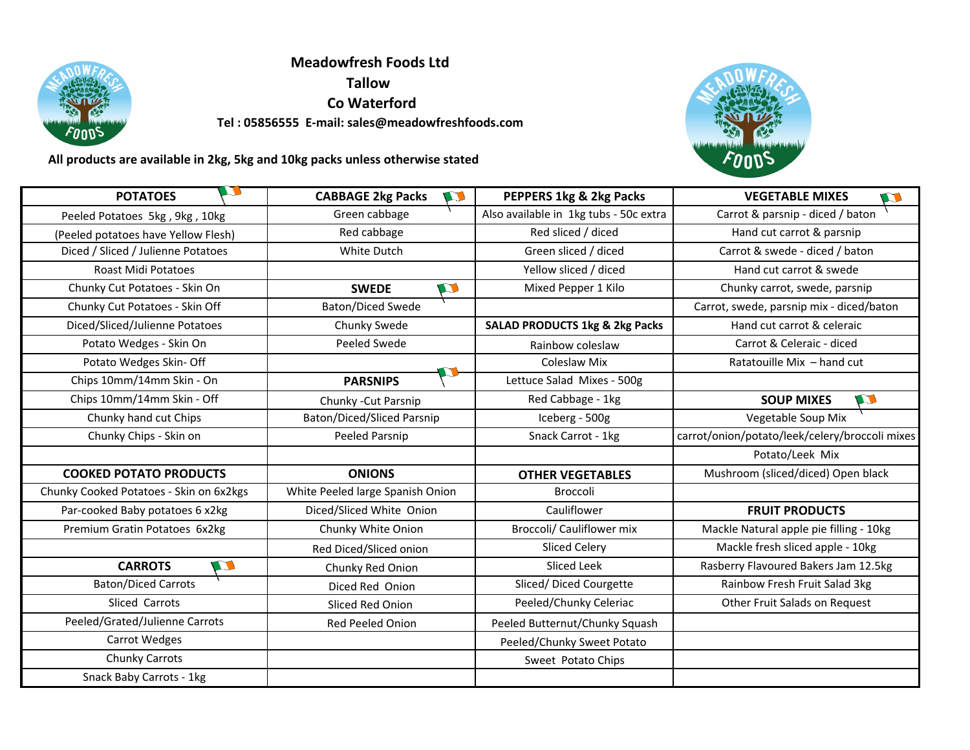

**Meadowfresh Foods Ltd Tallow Co Waterford Tel : 05856555 E-mail: sales@meadowfreshfoods.com** 



 **All products are available in 2kg, 5kg and 10kg packs unless otherwise stated**

| <b>POTATOES</b>                         | <b>CABBAGE 2kg Packs</b><br>$\mathbf{U}$ | PEPPERS 1kg & 2kg Packs                   | <b>VEGETABLE MIXES</b><br>$\blacksquare$       |
|-----------------------------------------|------------------------------------------|-------------------------------------------|------------------------------------------------|
| Peeled Potatoes 5kg, 9kg, 10kg          | Green cabbage                            | Also available in 1kg tubs - 50c extra    | Carrot & parsnip - diced / baton               |
| (Peeled potatoes have Yellow Flesh)     | Red cabbage                              | Red sliced / diced                        | Hand cut carrot & parsnip                      |
| Diced / Sliced / Julienne Potatoes      | White Dutch                              | Green sliced / diced                      | Carrot & swede - diced / baton                 |
| <b>Roast Midi Potatoes</b>              |                                          | Yellow sliced / diced                     | Hand cut carrot & swede                        |
| Chunky Cut Potatoes - Skin On           | W<br><b>SWEDE</b>                        | Mixed Pepper 1 Kilo                       | Chunky carrot, swede, parsnip                  |
| Chunky Cut Potatoes - Skin Off          | <b>Baton/Diced Swede</b>                 |                                           | Carrot, swede, parsnip mix - diced/baton       |
| Diced/Sliced/Julienne Potatoes          | Chunky Swede                             | <b>SALAD PRODUCTS 1kg &amp; 2kg Packs</b> | Hand cut carrot & celeraic                     |
| Potato Wedges - Skin On                 | Peeled Swede                             | Rainbow coleslaw                          | Carrot & Celeraic - diced                      |
| Potato Wedges Skin- Off                 |                                          | <b>Coleslaw Mix</b>                       | Ratatouille Mix - hand cut                     |
| Chips 10mm/14mm Skin - On               | <b>PARSNIPS</b>                          | Lettuce Salad Mixes - 500g                |                                                |
| Chips 10mm/14mm Skin - Off              | Chunky - Cut Parsnip                     | Red Cabbage - 1kg                         | <b>SOUP MIXES</b><br>$\blacksquare$            |
| Chunky hand cut Chips                   | Baton/Diced/Sliced Parsnip               | Iceberg - 500g                            | Vegetable Soup Mix                             |
| Chunky Chips - Skin on                  | <b>Peeled Parsnip</b>                    | Snack Carrot - 1kg                        | carrot/onion/potato/leek/celery/broccoli mixes |
|                                         |                                          |                                           | Potato/Leek Mix                                |
| <b>COOKED POTATO PRODUCTS</b>           | <b>ONIONS</b>                            | <b>OTHER VEGETABLES</b>                   | Mushroom (sliced/diced) Open black             |
| Chunky Cooked Potatoes - Skin on 6x2kgs | White Peeled large Spanish Onion         | Broccoli                                  |                                                |
| Par-cooked Baby potatoes 6 x2kg         | Diced/Sliced White Onion                 | Cauliflower                               | <b>FRUIT PRODUCTS</b>                          |
| Premium Gratin Potatoes 6x2kg           | Chunky White Onion                       | Broccoli/ Cauliflower mix                 | Mackle Natural apple pie filling - 10kg        |
|                                         | Red Diced/Sliced onion                   | Sliced Celery                             | Mackle fresh sliced apple - 10kg               |
| $\mathbf{C}$<br><b>CARROTS</b>          | Chunky Red Onion                         | Sliced Leek                               | Rasberry Flavoured Bakers Jam 12.5kg           |
| <b>Baton/Diced Carrots</b>              | Diced Red Onion                          | Sliced/ Diced Courgette                   | Rainbow Fresh Fruit Salad 3kg                  |
| Sliced Carrots                          | Sliced Red Onion                         | Peeled/Chunky Celeriac                    | Other Fruit Salads on Request                  |
| Peeled/Grated/Julienne Carrots          | <b>Red Peeled Onion</b>                  | Peeled Butternut/Chunky Squash            |                                                |
| <b>Carrot Wedges</b>                    |                                          | Peeled/Chunky Sweet Potato                |                                                |
| Chunky Carrots                          |                                          | Sweet Potato Chips                        |                                                |
| Snack Baby Carrots - 1kg                |                                          |                                           |                                                |